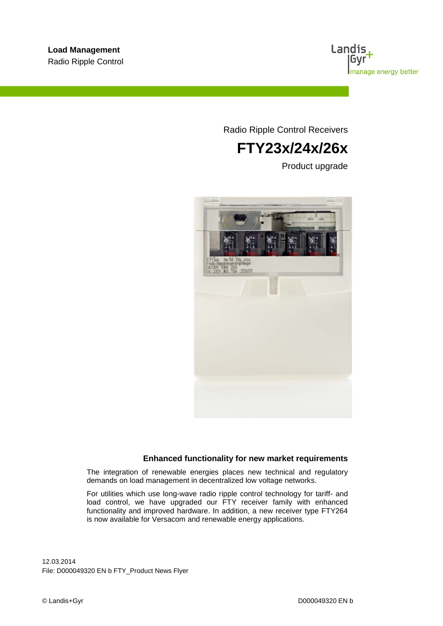

Radio Ripple Control Receivers

# **FTY23x/24x/26x**

Product upgrade



### **Enhanced functionality for new market requirements**

The integration of renewable energies places new technical and regulatory demands on load management in decentralized low voltage networks.

For utilities which use long-wave radio ripple control technology for tariff- and load control, we have upgraded our FTY receiver family with enhanced functionality and improved hardware. In addition, a new receiver type FTY264 is now available for Versacom and renewable energy applications.

12.03.2014 File: D000049320 EN b FTY\_Product News Flyer